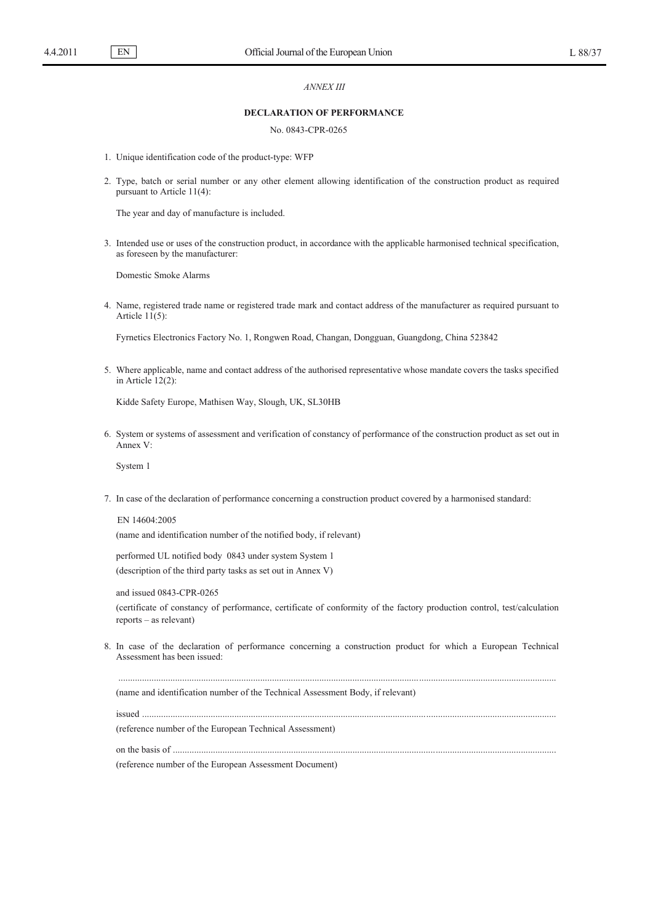EN

## *ANNEX III*

## **DECLARATION OF PERFORMANCE**

## No. 0843-CPR-0265

- 1. Unique identification code of the product-type: WFP
- 2. Type, batch or serial number or any other element allowing identification of the construction product as required pursuant to Article 11(4):

The year and day of manufacture is included.

3. Intended use or uses of the construction product, in accordance with the applicable harmonised technical specification, as foreseen by the manufacturer:

Domestic Smoke Alarms

4. Name, registered trade name or registered trade mark and contact address of the manufacturer as required pursuant to Article  $11(5)$ :

Fyrnetics Electronics Factory No. 1, Rongwen Road, Changan, Dongguan, Guangdong, China 523842

5. Where applicable, name and contact address of the authorised representative whose mandate covers the tasks specified in Article 12(2):

Kidde Safety Europe, Mathisen Way, Slough, UK, SL30HB

6. System or systems of assessment and verification of constancy of performance of the construction product as set out in Annex V:

System 1

7. In case of the declaration of performance concerning a construction product covered by a harmonised standard:

EN 14604:2005 (name and identification number of the notified body, if relevant)

performed UL notified body 0843 under system System 1 (description of the third party tasks as set out in Annex V)

and issued 0843-CPR-0265

(certificate of constancy of performance, certificate of conformity of the factory production control, test/calculation reports – as relevant)

8. In case of the declaration of performance concerning a construction product for which a European Technical Assessment has been issued:

.........................................................................................................................................................................................

(name and identification number of the Technical Assessment Body, if relevant)

issued ...............................................................................................................................................................................

(reference number of the European Technical Assessment)

on the basis of ..................................................................................................................................................................

(reference number of the European Assessment Document)